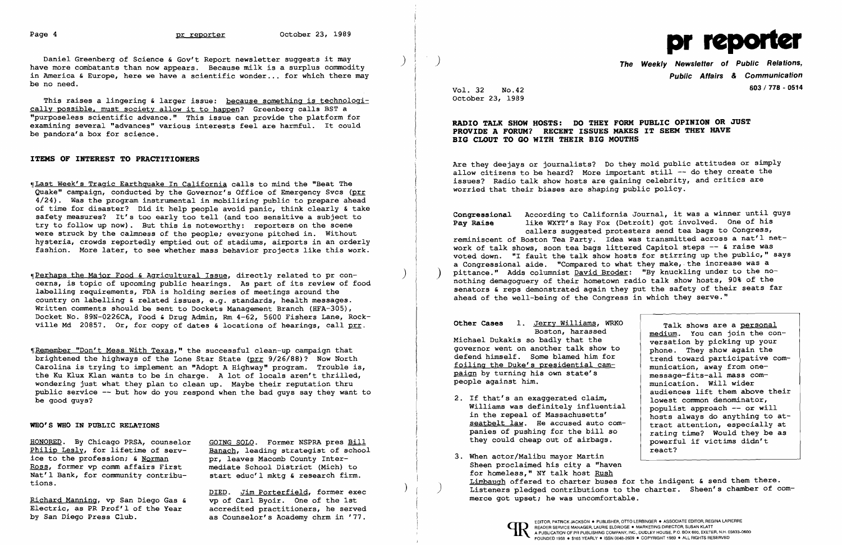

Daniel Greenberg of Science & Gov't Report newsletter suggests it may have more combatants than now appears. Because milk is a surplus commodity in America & Europe, here we have a scientific wonder ... for which there may be no need.

This raises a lingering & larger issue: because something is technologically possible. must society allow it to happen? Greenberg calls BST a "purposeless scientific advance." This issue can provide the platform for examining several "advances" various interests feel are harmful. It could be pandora'a box for science.

## ITEMS OF INTEREST TO PRACTITIONERS

~IPerhaps the Major Food & Agricultural Issue, directly related to pr concerns, is topic of upcoming public hearings. As part of its review of food labelling requirements, FDA is holding series of meetings around the country on labelling & related issues, e.g. standards, health messages. Written comments should be sent to Dockets Management Branch (HFA-305), Docket No. 89N-0226CA, Food & Drug Admin, Rm 4-62, 5600 Fishers Lane, Rockville Md 20857. Or, for copy of dates  $\epsilon$  locations of hearings, call prr.

~fRemember "Don't Mess With Texas," the successful clean-up campaign that brightened the highways of the Lone Star State (prr 9/26/88)? Now North Carolina is trying to implement an "Adopt A Highway" program. Trouble is, the Ku Klux Klan wants to be in charge. A lot of locals aren't thrilled, wondering just what they plan to clean up. Maybe their reputation thru public service -- but how do you respond when the bad guys say they want to be good guys?

~ILast Week's Tragic Earthquake In California calls to mind the "Beat The Quake" campaign, conducted by the Governor's Office of Emergency Svcs (prr 4/24). Was the program instrumental in mobilizing public to prepare ahead of time for disaster? Did it help people avoid panic, think clearly & take safety measures? It's too early too tell (and too sensitive a subject to try to follow up now). But this is noteworthy: reporters on the scene were struck by the calmness of the people; everyone pitched in. Without hysteria, crowds reportedly emptied out of stadiums, airports in an orderly fashion. More later, to see whether mass behavior projects like this work.

The Weekly Newsletter of Public Relations, Public Affairs & Communication Vol. 603/778 - <sup>0514</sup> 32 No.42

Congressional According to California Journal, it was a winner until guys<br>Pay Raise like WXYT's Ray Fox (Detroit) got involved. One of his like WXYT's Ray Fox (Detroit) got involved. One of his callers suggested protesters send tea bags to Congress, reminiscent of Boston Tea Party. Idea was transmitted across a nat'l network of talk shows, soon tea bags littered Capitol steps -- & raise was voted down. "I fault the talk show hosts for stirring up the public," says a Congressional aide. "Compared to what they make, the increase was a pittance." Adds columnist David Broder: "By knuckling under to the nonothing demagoguery of their hometown radio talk show hosts, 90% of the senators & reps demonstrated again they put the safety of their seats far ahead of the well-being of the Congress in which they serve."

Other Cases 1. Jerry Williams, WRKO Boston, harassed Michael Dukakis so badly that the governor went on another talk show to defend himself. Some blamed him for foiling the Duke's presidential campaign by turning his own state's people against him.

### WHO'S WHO IN PUBLIC RELATIONS

- 2. If that's an exaggerated claim, Williams was definitely influential in the repeal of Massachusetts' seatbelt law. He accused auto companies of pushing for the bill so they could cheap out of airbags.
- 3. When actor/Malibu mayor Martin Sheen proclaimed his city a "haven for homeless," NY talk host Rush

HONORED. By Chicago PRSA, counselor Philip Lesly, for lifetime of service to the profession; & Norman Ross, former vp comm affairs First Nat'l Bank, for community contributions.

Electric, as PR Prof'l of the Year<br>by San Diego Press Club.

Limbaugh offered to charter buses for the indigent & send them there. Listeners pledged contributions to the charter. Sheen's chamber of com-

GOING SOLO. Former NSPRA pres Bill Banach, leading strategist of school pr, leaves Macomb County Intermediate School District (Mich) to start educ'l mktg & research firm.

DIED. Jim Porterfield, former exec<br>vp of Carl Byoir. One of the 1st Richard Manning, vp San Diego Gas & merce of Carl Byoir. One of the 1st merce got upset; he was uncomfortable.<br>Electric, as PR Prof'l of the Year accredited practitioners, he served as Counselor's Academy chrm in '77.

)

)

October 23, 1989

RADIO TALK SHOW HOSTS: DO THEY FORM PUBLIC OPINION OR JUST PROVIDE A FORUM? RECENT ISSUES MAKES IT SEEM THEY HAVE BIG CLOUT TO GO WITH THEIR BIG MOUTHS

Are they deejays or journalists? Do they mold public attitudes or simply allow citizens to be heard? More important still -- do they create the issues? Radio talk show hosts are gaining celebrity, and critics are worried that their biases are shaping public policy.

Talk shows are a personal medium. You can join the conversation by picking up your phone. They show again the trend toward participative communication, away from onemessage-fits-all mass communication. Will wider audiences lift them above their lowest common denominator, populist approach -- or will hosts always do anything to attract attention, especially at rating time? Would they be as powerful if victims didn't react?